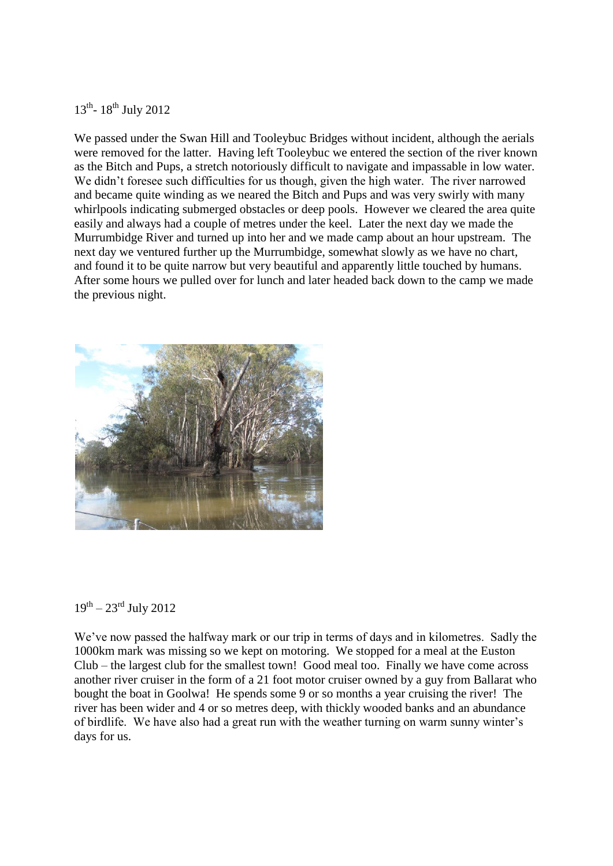## 13<sup>th</sup>-18<sup>th</sup> July 2012

We passed under the Swan Hill and Tooleybuc Bridges without incident, although the aerials were removed for the latter. Having left Tooleybuc we entered the section of the river known as the Bitch and Pups, a stretch notoriously difficult to navigate and impassable in low water. We didn't foresee such difficulties for us though, given the high water. The river narrowed and became quite winding as we neared the Bitch and Pups and was very swirly with many whirlpools indicating submerged obstacles or deep pools. However we cleared the area quite easily and always had a couple of metres under the keel. Later the next day we made the Murrumbidge River and turned up into her and we made camp about an hour upstream. The next day we ventured further up the Murrumbidge, somewhat slowly as we have no chart, and found it to be quite narrow but very beautiful and apparently little touched by humans. After some hours we pulled over for lunch and later headed back down to the camp we made the previous night.



## $19^{th} - 23^{rd}$  July 2012

We've now passed the halfway mark or our trip in terms of days and in kilometres. Sadly the 1000km mark was missing so we kept on motoring. We stopped for a meal at the Euston Club – the largest club for the smallest town! Good meal too. Finally we have come across another river cruiser in the form of a 21 foot motor cruiser owned by a guy from Ballarat who bought the boat in Goolwa! He spends some 9 or so months a year cruising the river! The river has been wider and 4 or so metres deep, with thickly wooded banks and an abundance of birdlife. We have also had a great run with the weather turning on warm sunny winter's days for us.